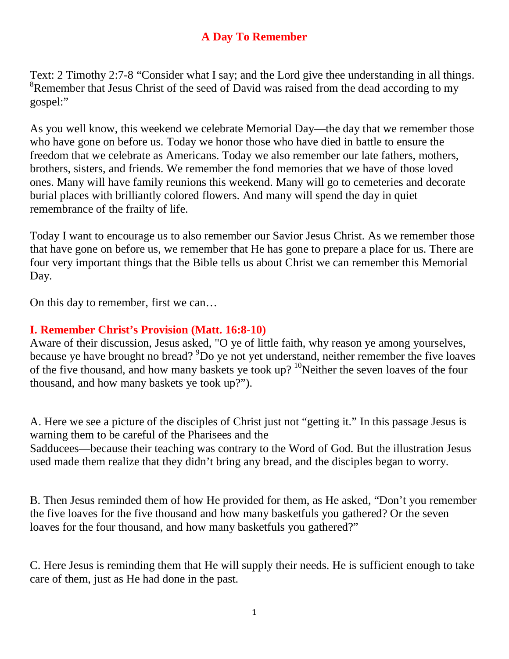## **A Day To Remember**

Text: 2 Timothy 2:7-8 "Consider what I say; and the Lord give thee understanding in all things. <sup>8</sup>Remember that Jesus Christ of the seed of David was raised from the dead according to my gospel:"

As you well know, this weekend we celebrate Memorial Day—the day that we remember those who have gone on before us. Today we honor those who have died in battle to ensure the freedom that we celebrate as Americans. Today we also remember our late fathers, mothers, brothers, sisters, and friends. We remember the fond memories that we have of those loved ones. Many will have family reunions this weekend. Many will go to cemeteries and decorate burial places with brilliantly colored flowers. And many will spend the day in quiet remembrance of the frailty of life.

Today I want to encourage us to also remember our Savior Jesus Christ. As we remember those that have gone on before us, we remember that He has gone to prepare a place for us. There are four very important things that the Bible tells us about Christ we can remember this Memorial Day.

On this day to remember, first we can…

## **I. Remember Christ's Provision (Matt. 16:8-10)**

Aware of their discussion, Jesus asked, "O ye of little faith, why reason ye among yourselves, because ye have brought no bread? <sup>9</sup>Do ye not yet understand, neither remember the five loaves of the five thousand, and how many baskets ye took up?  $10$ Neither the seven loaves of the four thousand, and how many baskets ye took up?").

A. Here we see a picture of the disciples of Christ just not "getting it." In this passage Jesus is warning them to be careful of the Pharisees and the

Sadducees—because their teaching was contrary to the Word of God. But the illustration Jesus used made them realize that they didn't bring any bread, and the disciples began to worry.

B. Then Jesus reminded them of how He provided for them, as He asked, "Don't you remember the five loaves for the five thousand and how many basketfuls you gathered? Or the seven loaves for the four thousand, and how many basketfuls you gathered?"

C. Here Jesus is reminding them that He will supply their needs. He is sufficient enough to take care of them, just as He had done in the past.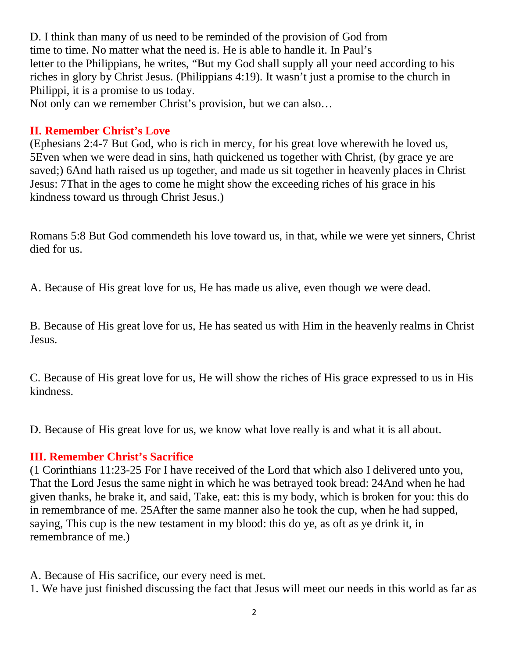D. I think than many of us need to be reminded of the provision of God from time to time. No matter what the need is. He is able to handle it. In Paul's letter to the Philippians, he writes, "But my God shall supply all your need according to his riches in glory by Christ Jesus. (Philippians 4:19). It wasn't just a promise to the church in Philippi, it is a promise to us today.

Not only can we remember Christ's provision, but we can also…

# **II. Remember Christ's Love**

(Ephesians 2:4-7 But God, who is rich in mercy, for his great love wherewith he loved us, 5Even when we were dead in sins, hath quickened us together with Christ, (by grace ye are saved;) 6And hath raised us up together, and made us sit together in heavenly places in Christ Jesus: 7That in the ages to come he might show the exceeding riches of his grace in his kindness toward us through Christ Jesus.)

Romans 5:8 But God commendeth his love toward us, in that, while we were yet sinners, Christ died for us.

A. Because of His great love for us, He has made us alive, even though we were dead.

B. Because of His great love for us, He has seated us with Him in the heavenly realms in Christ Jesus.

C. Because of His great love for us, He will show the riches of His grace expressed to us in His kindness.

D. Because of His great love for us, we know what love really is and what it is all about.

# **III. Remember Christ's Sacrifice**

(1 Corinthians 11:23-25 For I have received of the Lord that which also I delivered unto you, That the Lord Jesus the same night in which he was betrayed took bread: 24And when he had given thanks, he brake it, and said, Take, eat: this is my body, which is broken for you: this do in remembrance of me. 25After the same manner also he took the cup, when he had supped, saying, This cup is the new testament in my blood: this do ye, as oft as ye drink it, in remembrance of me.)

- A. Because of His sacrifice, our every need is met.
- 1. We have just finished discussing the fact that Jesus will meet our needs in this world as far as